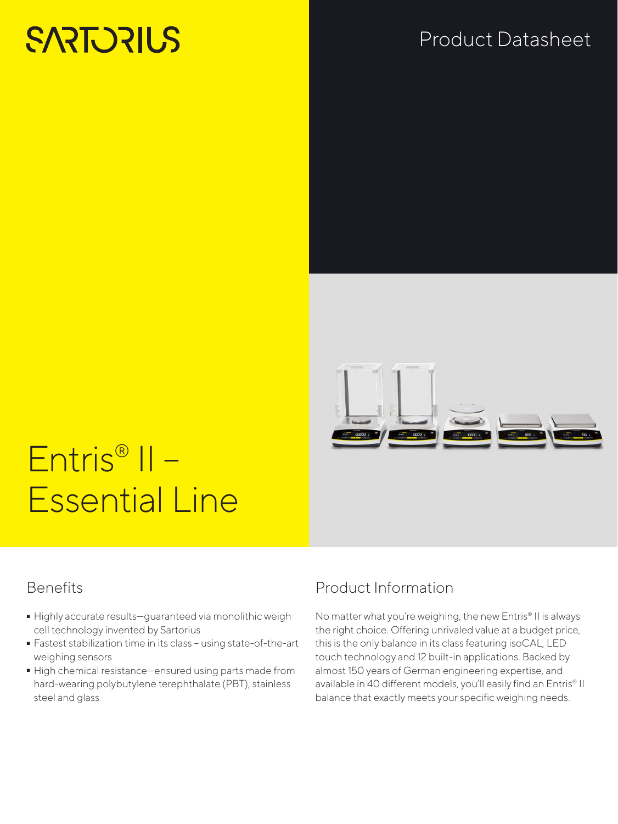# **SARTORIUS**

## Product Datasheet



# Entris® II – Essential Line

#### **Benefits**

- Highly accurate results—guaranteed via monolithic weigh cell technology invented by Sartorius
- Fastest stabilization time in its class using state-of-the-art<br>weighing sensors<br>- High chemical resistance—ensured using parts made from weighing sensors
- High chemical resistance—ensured using parts made from hard-wearing polybutylene terephthalate (PBT), stainless steel and glass

### Product Information

No matter what you're weighing, the new Entris® II is always the right choice. Offering unrivaled value at a budget price, this is the only balance in its class featuring isoCAL, LED touch technology and 12 built-in applications. Backed by almost 150 years of German engineering expertise, and available in 40 different models, you'll easily find an Entris® II balance that exactly meets your specific weighing needs.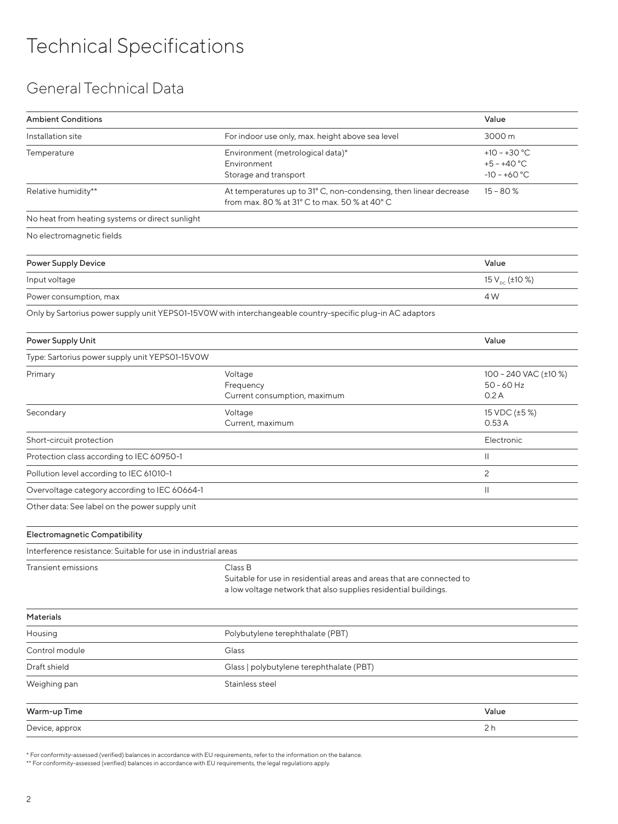#### General Technical Data

| <b>Ambient Conditions</b>                                     |                                                                                                                                                     | Value                                             |
|---------------------------------------------------------------|-----------------------------------------------------------------------------------------------------------------------------------------------------|---------------------------------------------------|
| Installation site                                             | For indoor use only, max. height above sea level                                                                                                    | 3000 m                                            |
| Temperature                                                   | Environment (metrological data)*<br>Environment<br>Storage and transport                                                                            | $+10 - +30 °C$<br>$+5 - +40 °C$<br>$-10 - +60 °C$ |
| Relative humidity**                                           | At temperatures up to 31° C, non-condensing, then linear decrease<br>from max. 80 % at 31° C to max. 50 % at 40° C                                  | $15 - 80%$                                        |
| No heat from heating systems or direct sunlight               |                                                                                                                                                     |                                                   |
| No electromagnetic fields                                     |                                                                                                                                                     |                                                   |
| <b>Power Supply Device</b>                                    |                                                                                                                                                     | Value                                             |
| Input voltage                                                 |                                                                                                                                                     | 15 V <sub>DC</sub> (±10 %)                        |
| Power consumption, max                                        |                                                                                                                                                     | 4 W                                               |
|                                                               | Only by Sartorius power supply unit YEPS01-15VOW with interchangeable country-specific plug-in AC adaptors                                          |                                                   |
| Power Supply Unit                                             |                                                                                                                                                     | Value                                             |
| Type: Sartorius power supply unit YEPS01-15V0W                |                                                                                                                                                     |                                                   |
| Primary                                                       | Voltage<br>Frequency<br>Current consumption, maximum                                                                                                | 100 - 240 VAC (±10 %)<br>$50 - 60$ Hz<br>0.2A     |
| Secondary                                                     | Voltage<br>Current, maximum                                                                                                                         | 15 VDC (±5 %)<br>0.53A                            |
| Short-circuit protection                                      |                                                                                                                                                     | Electronic                                        |
| Protection class according to IEC 60950-1                     |                                                                                                                                                     | Ш                                                 |
| Pollution level according to IEC 61010-1                      |                                                                                                                                                     | 2                                                 |
| Overvoltage category according to IEC 60664-1                 |                                                                                                                                                     | Ш                                                 |
| Other data: See label on the power supply unit                |                                                                                                                                                     |                                                   |
| Electromagnetic Compatibility                                 |                                                                                                                                                     |                                                   |
| Interference resistance: Suitable for use in industrial areas |                                                                                                                                                     |                                                   |
| Transient emissions                                           | Class B<br>Suitable for use in residential areas and areas that are connected to<br>a low voltage network that also supplies residential buildings. |                                                   |
| Materials                                                     |                                                                                                                                                     |                                                   |
| Housing                                                       | Polybutylene terephthalate (PBT)                                                                                                                    |                                                   |
| Control module                                                | Glass                                                                                                                                               |                                                   |
| Draft shield                                                  | Glass   polybutylene terephthalate (PBT)                                                                                                            |                                                   |
| Weighing pan                                                  | Stainless steel                                                                                                                                     |                                                   |
| Warm-up Time                                                  |                                                                                                                                                     | Value                                             |
| Device, approx                                                |                                                                                                                                                     | 2 <sub>h</sub>                                    |
|                                                               |                                                                                                                                                     |                                                   |

\* For conformity-assessed (verified) balances in accordance with EU requirements, refer to the information on the balance.

\*\* For conformity-assessed (verified) balances in accordance with EU requirements, the legal regulations apply.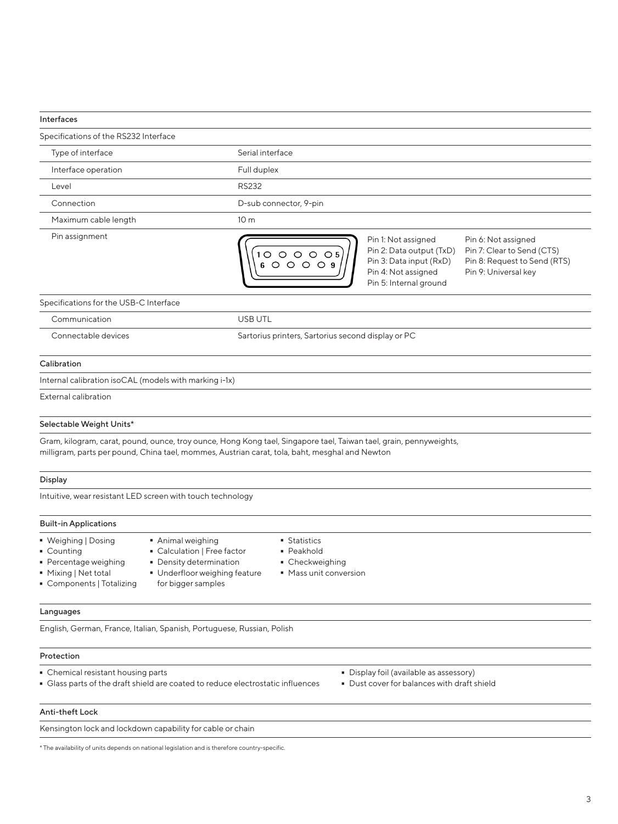#### Interfaces Specifications of the RS232 Interface Type of interface Serial interface Interface operation **Full duplex** Level **RS232** Connection D-sub connector, 9-pin Maximum cable length 10 m Pin assignment **Pin 1: Not assigned** Pin 1: Not assigned Pin 6: Not assigned Pin 2: Data output (TxD) Pin 7: Clear to Send (CTS)  $1000005$ Pin 3: Data input (RxD) Pin 8: Request to Send (RTS) 6 0 0 0 0 9 Pin 4: Not assigned Pin 9: Universal key Pin 5: Internal ground Specifications for the USB-C Interface Communication USB UTL Connectable devices Sartorius printers, Sartorius second display or PC Calibration Internal calibration isoCAL (models with marking i-1x) External calibration Selectable Weight Units\* Gram, kilogram, carat, pound, ounce, troy ounce, Hong Kong tael, Singapore tael, Taiwan tael, grain, pennyweights, milligram, parts per pound, China tael, mommes, Austrian carat, tola, baht, mesghal and Newton Display Intuitive, wear resistant LED screen with touch technology Built-in Applications - Weighing | Dosing<br>- Counting **Statistics**<br>**Peakhold** • Animal weighing<br>• Calculation | Fre • Counting<br>• Percentag - Calculation | Free factor ■ Percentage weighing<br>■ Mixing | Net total - Density determination • Checkweighing ■ Checkweighing<br>■ Mass unit conve - Mixing | Net total - Underfloor weighing feature  $\blacksquare$  Mass unit conversion - Components | Totalizing for bigger samples Languages English, German, France, Italian, Spanish, Portuguese, Russian, Polish Protection Chemical resistant housing parts<br>Glass parts of the draft shield are coated to reduce electrostatic influences - Dust cover for balances with draft<br>Glass parts of the draft shield are coated to reduce electrostatic influen - Dust cover for balances with draft shield Anti-theft Lock Kensington lock and lockdown capability for cable or chain

\* The availability of units depends on national legislation and is therefore country-specific.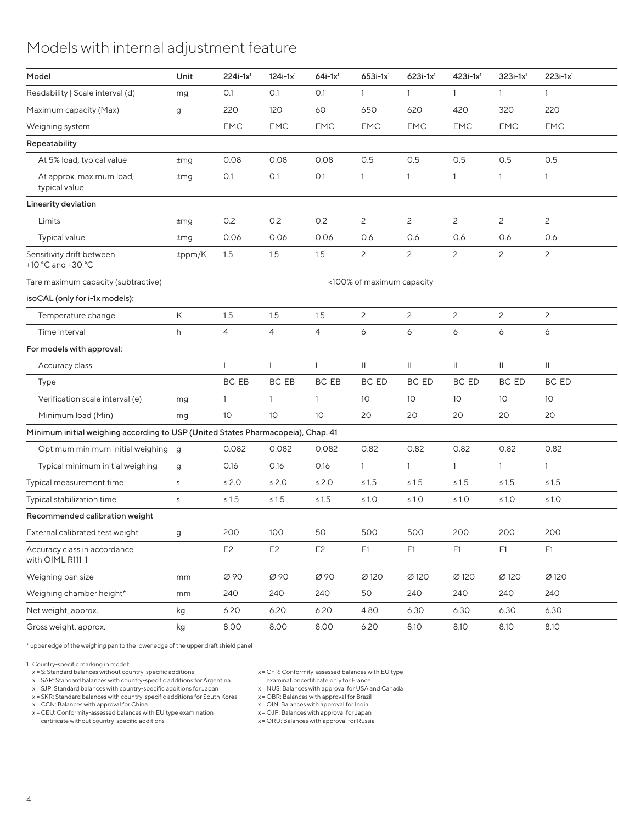#### Models with internal adjustment feature

| Model                                                                            | Unit         | $224i-1x^1$     | $124i - 1x1$    | $64i-1x$ <sup>1</sup> | $653i - 1x^1$             | $623i-1x^{1}$   | $423i-1x^1$     | $323i-1x^1$     | $223i-1x^{1}$   |
|----------------------------------------------------------------------------------|--------------|-----------------|-----------------|-----------------------|---------------------------|-----------------|-----------------|-----------------|-----------------|
| Readability   Scale interval (d)                                                 | mg           | O.1             | O.1             | 0.1                   |                           | $\overline{1}$  |                 |                 |                 |
| Maximum capacity (Max)                                                           | g            | 220             | 120             | 60                    | 650                       | 620             | 420             | 320             | 220             |
| Weighing system                                                                  |              | <b>EMC</b>      | <b>EMC</b>      | <b>EMC</b>            | EMC                       | EMC             | <b>EMC</b>      | EMC             | EMC             |
| Repeatability                                                                    |              |                 |                 |                       |                           |                 |                 |                 |                 |
| At 5% load, typical value                                                        | ±mg          | 0.08            | 0.08            | 0.08                  | 0.5                       | 0.5             | 0.5             | 0.5             | 0.5             |
| At approx. maximum load,<br>typical value                                        | $\pm$ mg     | O.1             | O.1             | O.1                   |                           | $\mathbf{1}$    | $\mathbf{1}$    |                 |                 |
| Linearity deviation                                                              |              |                 |                 |                       |                           |                 |                 |                 |                 |
| Limits                                                                           | $\pm$ mg     | 0.2             | 0.2             | 0.2                   | 2                         | $\overline{2}$  | $\overline{2}$  | $\overline{c}$  | 2               |
| Typical value                                                                    | $\pm$ mg     | 0.06            | 0.06            | 0.06                  | 0.6                       | 0.6             | 0.6             | 0.6             | 0.6             |
| Sensitivity drift between<br>+10 °C and +30 °C                                   | ±ppm/K       | 1.5             | 1.5             | 1.5                   | 2                         | $\overline{2}$  | $\overline{2}$  | 2               | 2               |
| Tare maximum capacity (subtractive)                                              |              |                 |                 |                       | <100% of maximum capacity |                 |                 |                 |                 |
| isoCAL (only for i-1x models):                                                   |              |                 |                 |                       |                           |                 |                 |                 |                 |
| Temperature change                                                               | K            | 1.5             | 1.5             | 1.5                   | 2                         | $\overline{2}$  | $\overline{2}$  | 2               | 2               |
| Time interval                                                                    | h            | $\overline{4}$  | $\overline{4}$  | $\overline{4}$        | 6                         | 6               | 6               | 6               | 6               |
| For models with approval:                                                        |              |                 |                 |                       |                           |                 |                 |                 |                 |
| Accuracy class                                                                   |              |                 |                 |                       | $\mathbf{H}$              | $\mathbf{H}$    | $\mathbf{  }$   | $\mathbf{H}$    | $\mathbb{I}$    |
| Type                                                                             |              | BC-EB           | BC-EB           | BC-EB                 | BC-ED                     | BC-ED           | BC-ED           | BC-ED           | BC-ED           |
| Verification scale interval (e)                                                  | mg           | $\overline{1}$  |                 |                       | 10                        | 10 <sup>°</sup> | 10 <sup>°</sup> | 10 <sup>°</sup> | 10 <sup>°</sup> |
| Minimum load (Min)                                                               | mg           | 10 <sup>°</sup> | 10 <sup>°</sup> | 10 <sup>°</sup>       | 20                        | 20              | 20              | 20              | 20              |
| Minimum initial weighing according to USP (United States Pharmacopeia), Chap. 41 |              |                 |                 |                       |                           |                 |                 |                 |                 |
| Optimum minimum initial weighing g                                               |              | 0.082           | 0.082           | 0.082                 | 0.82                      | 0.82            | 0.82            | 0.82            | 0.82            |
| Typical minimum initial weighing                                                 | g            | 0.16            | 0.16            | 0.16                  | $\overline{1}$            | $\overline{1}$  | $\mathbf{1}$    | $\overline{1}$  | $\overline{1}$  |
| Typical measurement time                                                         | S            | $\leq 2.0$      | $\leq 2.0$      | $\leq 2.0$            | $\leq 1.5$                | $\leq 1.5$      | $\leq 1.5$      | $\leq 1.5$      | $\leq 1.5$      |
| Typical stabilization time                                                       | $\mathsf{S}$ | $\leq 1.5$      | $\leq 1.5$      | $\leq 1.5$            | $\leq 1.0$                | $\leq 1.0$      | $\leq 1.0$      | $\leq 1.0$      | $\leq 1.0$      |
| Recommended calibration weight                                                   |              |                 |                 |                       |                           |                 |                 |                 |                 |
| External calibrated test weight                                                  | g            | 200             | 100             | 50                    | 500                       | 500             | 200             | 200             | 200             |
| Accuracy class in accordance<br>with OIML R111-1                                 |              | E <sub>2</sub>  | E <sub>2</sub>  | E <sub>2</sub>        | F1                        | F1              | F1              | F1              | F1              |
| Weighing pan size                                                                | mm           | Ø 90            | Ø 90            | Ø 90                  | Ø 120                     | Ø 120           | Ø 120           | Ø 120           | Ø 120           |
| Weighing chamber height*                                                         | mm           | 240             | 240             | 240                   | 50                        | 240             | 240             | 240             | 240             |
| Net weight, approx.                                                              | kg           | 6.20            | 6.20            | 6.20                  | 4.80                      | 6.30            | 6.30            | 6.30            | 6.30            |
| Gross weight, approx.                                                            | kg           | 8.00            | 8.00            | 8.00                  | 6.20                      | 8.10            | 8.10            | 8.10            | 8.10            |

\* upper edge of the weighing pan to the lower edge of the upper draft shield panel

1 Country-specific marking in model:

x = S: Standard balances without country-specific additions

x = SAR: Standard balances with country-specific additions for Argentina

x = SJP: Standard balances with country-specific additions for Japan

x = SKR: Standard balances with country-specific additions for South Korea x = CCN: Balances with approval for China

x = CEU: Conformity-assessed balances with EU type examination certificate without country-specific additions

x = CFR: Conformity-assessed balances with EU type

examinationcertificate only for France x = NUS: Balances with approval for USA and Canada

x = OBR: Balances with approval for Brazil x = OIN: Balances with approval for India

x = OJP: Balances with approval for Japan x = ORU: Balances with approval for Russia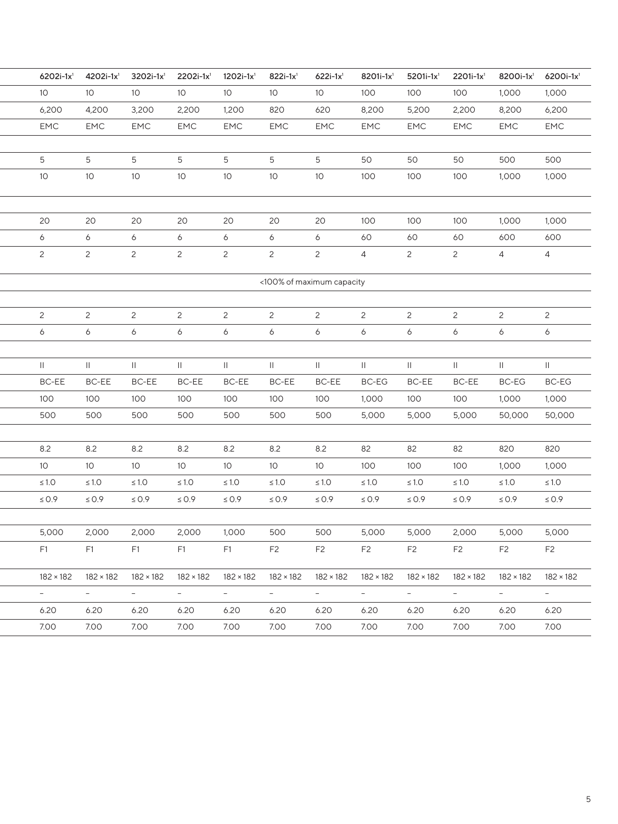|                           | 4202i-1x1<br>6202i-1x1                                                                                                                                                                                                         | $3202$ i-1x <sup>1</sup> | $2202i - 1x1$   | $1202i - 1x^1$                          | $822i - 1x^1$   | $622i - 1x^1$    | $8201i - 1x1$  | $5201i - 1x^1$                    | $2201i - 1x^1$  | 8200i-1x1                  | $6200i - 1x1$   |  |
|---------------------------|--------------------------------------------------------------------------------------------------------------------------------------------------------------------------------------------------------------------------------|--------------------------|-----------------|-----------------------------------------|-----------------|------------------|----------------|-----------------------------------|-----------------|----------------------------|-----------------|--|
| 10 <sup>°</sup>           | 10 <sup>°</sup>                                                                                                                                                                                                                | 10 <sup>°</sup>          | 10 <sup>°</sup> | 10 <sup>°</sup>                         | 10 <sup>°</sup> | 10 <sup>°</sup>  | 100            | 100                               | 100             | 1,000                      | 1,000           |  |
| 6,200                     | 4,200                                                                                                                                                                                                                          | 3,200                    | 2,200           | 1,200                                   | 820             | 620              | 8,200          | 5,200                             | 2,200           | 8,200                      | 6,200           |  |
| <b>EMC</b>                | <b>EMC</b>                                                                                                                                                                                                                     | EMC                      | <b>EMC</b>      | EMC                                     | <b>EMC</b>      | <b>EMC</b>       | <b>EMC</b>     | <b>EMC</b>                        | <b>EMC</b>      | EMC                        | EMC             |  |
|                           |                                                                                                                                                                                                                                |                          |                 |                                         |                 |                  |                |                                   |                 |                            |                 |  |
| 5                         | 5                                                                                                                                                                                                                              | 5                        | 5               | 5                                       | 5               | 5                | 50             | 50                                | 50              | 500                        | 500             |  |
| 10 <sup>°</sup>           | 10 <sup>°</sup>                                                                                                                                                                                                                | 10 <sup>°</sup>          | 10 <sup>°</sup> | 10 <sup>°</sup>                         | 10 <sup>°</sup> | 10 <sup>°</sup>  | 100            | 100                               | 100             | 1,000                      | 1,000           |  |
|                           |                                                                                                                                                                                                                                |                          |                 |                                         |                 |                  |                |                                   |                 |                            |                 |  |
| 20                        | 20                                                                                                                                                                                                                             | 20                       | 20              | 20                                      | 20              | 20               | 100            | 100                               | 100             | 1,000                      | 1,000           |  |
| 6                         | 6                                                                                                                                                                                                                              | 6                        | 6               | 6                                       | 6               | 6                | 60             | 60                                | 60              | 600                        | 600             |  |
| $\overline{2}$            | 2                                                                                                                                                                                                                              | $\overline{2}$           | $\overline{2}$  | 2                                       | $\overline{2}$  | $\overline{2}$   | $\overline{4}$ | 2                                 | $\overline{2}$  | $\overline{4}$             | $\overline{4}$  |  |
|                           |                                                                                                                                                                                                                                |                          |                 |                                         |                 |                  |                |                                   |                 |                            |                 |  |
| <100% of maximum capacity |                                                                                                                                                                                                                                |                          |                 |                                         |                 |                  |                |                                   |                 |                            |                 |  |
|                           |                                                                                                                                                                                                                                |                          |                 |                                         |                 |                  |                |                                   |                 |                            |                 |  |
| $\overline{2}$            | 2                                                                                                                                                                                                                              | $\overline{2}$           | $\overline{c}$  | 2                                       | $\overline{2}$  | $\overline{2}$   | $\overline{2}$ | 2                                 | $\overline{2}$  | $\overline{2}$             | $\overline{2}$  |  |
| 6                         | 6                                                                                                                                                                                                                              | 6                        | 6               | 6                                       | 6               | 6                | 6              | 6                                 | 6               | 6                          | 6               |  |
|                           |                                                                                                                                                                                                                                |                          |                 |                                         |                 |                  |                |                                   |                 |                            |                 |  |
| $\mathbf{H}$              | $\mathbf{H}$                                                                                                                                                                                                                   | $\mathbb{H}$             | $\mathbf{H}$    | $\mathbf{H}$                            | $\mathbf{  }$   | $\mathbf{H}$     | $\mathbb{H}$   | $\mathbf{  }$                     | $\mathbf{  }$   | $\mathbf{H}$               | $\mathbb{H}$    |  |
| BC-EE                     | BC-EE                                                                                                                                                                                                                          | BC-EE                    | BC-EE           | BC-EE                                   | BC-EE           | BC-EE            | BC-EG          | BC-EE                             | BC-EE           | BC-EG                      | BC-EG           |  |
| 100                       | 100                                                                                                                                                                                                                            | 100                      | 100<br>500      | 100                                     | 100             | 100              | 1,000          | 100                               | 100             | 1,000                      | 1,000<br>50,000 |  |
| 500                       | 500                                                                                                                                                                                                                            | 500                      |                 | 500                                     | 500             | 500              | 5,000          | 5,000                             | 5,000           | 50,000                     |                 |  |
| 8.2                       | 8.2                                                                                                                                                                                                                            | 8.2                      | 8.2             | 8.2                                     | 8.2             | 8.2              | 82             | 82                                | 82              | 820                        | 820             |  |
| 10 <sup>°</sup>           | 10 <sup>°</sup>                                                                                                                                                                                                                | 10 <sup>°</sup>          | $10-10$         | 10 <sup>°</sup>                         | 10 <sup>°</sup> | 10 <sup>°</sup>  | 100            | 100                               | 100             | 1,000                      | 1,000           |  |
| $\leq 1.0$                | $\leq 1.0$                                                                                                                                                                                                                     | $\leq 1.0$               | $\leq 1.0$      | $\leq 1.0$                              | $\leq 1.0$      | $\leq 1.0$       | $\leq 1.0$     | $\leq 1.0$                        | $\leq 1.0$      | $\leq 1.0$                 | $\leq 1.0$      |  |
| $\leq 0.9$                | $\leq 0.9$                                                                                                                                                                                                                     | $\leq 0.9$               | $\leq 0.9$      | $\leq 0.9$                              | $\leq 0.9$      | $\leq 0.9$       | $\leq 0.9$     | $\leq 0.9$                        | $\leq 0.9$      | $\leq 0.9$                 | $\leq 0.9$      |  |
|                           |                                                                                                                                                                                                                                |                          |                 |                                         |                 |                  |                |                                   |                 |                            |                 |  |
|                           | 5,000 2,000 2,000 2,000 1,000                                                                                                                                                                                                  |                          |                 |                                         | 500             | 500              | 5,000          | 5,000                             | 2,000           | 5,000 5,000                |                 |  |
|                           |                                                                                                                                                                                                                                |                          |                 |                                         |                 | F2               | F2             | F2                                | F <sub>2</sub>  | F2                         | <b>F2</b>       |  |
|                           |                                                                                                                                                                                                                                |                          |                 |                                         |                 |                  |                |                                   |                 |                            |                 |  |
|                           | 182 × 182 182 × 182 182 × 182 182 × 182 182 × 182 182 × 182 182 × 182 182 × 182 182 × 182 182 × 182 182 × 182 × 182 × 182 × 182 × 182 × 182 × 182 × 182 × 182 × 182 × 182 × 182 × 182 × 182 × 182 × 182 × 182 × 182 × 182 × 18 |                          |                 |                                         |                 |                  |                |                                   |                 |                            |                 |  |
|                           | the control of the control of the control of the con-                                                                                                                                                                          |                          |                 | and the state of the state of the state |                 | $\alpha = 0.000$ |                | $\alpha \rightarrow \alpha \beta$ | $\alpha = 0.01$ | the company of the company |                 |  |
| 6.20                      | 6.20                                                                                                                                                                                                                           | 6.20                     | 6.20            | 6.20                                    | 6.20            | 6.20             | 6.20           | 6.20 6.20                         |                 | 6.20 6.20                  |                 |  |
|                           | 7.00                                                                                                                                                                                                                           |                          |                 |                                         |                 |                  |                |                                   |                 |                            |                 |  |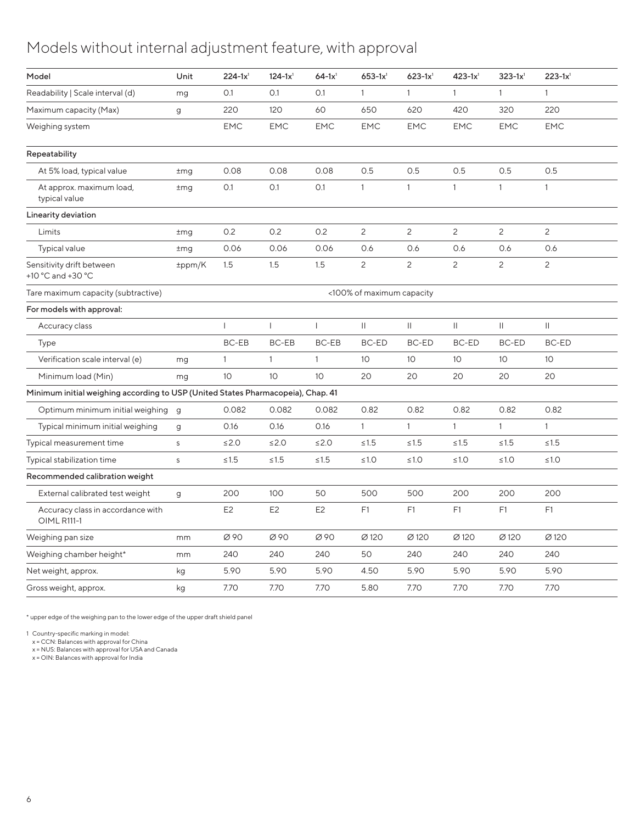#### Models without internal adjustment feature, with approval

| Model                                                                            | Unit         | $224 - 1x1$     | $124 - 1x1$     | $64-1x^{1}$     | $653 - 1x1$               | $623 - 1x^{1}$  | $423 - 1x^{1}$  | $323 - 1x^{1}$  | $223 - 1x^{1}$  |
|----------------------------------------------------------------------------------|--------------|-----------------|-----------------|-----------------|---------------------------|-----------------|-----------------|-----------------|-----------------|
| Readability   Scale interval (d)                                                 | mg           | O.1             | O.1             | O.1             | $\overline{1}$            | $\overline{1}$  | $\overline{1}$  | $\overline{1}$  |                 |
| Maximum capacity (Max)                                                           | g            | 220             | 120             | 60              | 650                       | 620             | 420             | 320             | 220             |
| Weighing system                                                                  |              | <b>EMC</b>      | EMC             | <b>EMC</b>      | EMC                       | <b>EMC</b>      | EMC             | <b>EMC</b>      | EMC             |
| Repeatability                                                                    |              |                 |                 |                 |                           |                 |                 |                 |                 |
| At 5% load, typical value                                                        | $\pm$ mg     | 0.08            | 0.08            | 0.08            | 0.5                       | 0.5             | 0.5             | 0.5             | 0.5             |
| At approx. maximum load,<br>typical value                                        | $\pm$ mg     | 0.1             | O.1             | O.1             | - 1                       | $\overline{1}$  | $\overline{1}$  |                 |                 |
| Linearity deviation                                                              |              |                 |                 |                 |                           |                 |                 |                 |                 |
| Limits                                                                           | $\pm$ mg     | 0.2             | 0.2             | 0.2             | $\overline{2}$            | $\overline{2}$  | $\overline{2}$  | $\overline{2}$  | $\overline{c}$  |
| Typical value                                                                    | $\pm$ mg     | 0.06            | 0.06            | 0.06            | 0.6                       | 0.6             | 0.6             | 0.6             | 0.6             |
| Sensitivity drift between<br>+10 °C and +30 °C                                   | ±ppm/K       | 1.5             | 1.5             | 1.5             | $\overline{2}$            | $\overline{2}$  | $\overline{2}$  | $\overline{2}$  | $\overline{c}$  |
| Tare maximum capacity (subtractive)                                              |              |                 |                 |                 | <100% of maximum capacity |                 |                 |                 |                 |
| For models with approval:                                                        |              |                 |                 |                 |                           |                 |                 |                 |                 |
| Accuracy class                                                                   |              |                 |                 |                 | $\mathbf{H}$              | $\mathbf{II}$   | $\mathbb{I}$    | $\mathbf{H}$    | $\mathbf{H}$    |
| Type                                                                             |              | BC-EB           | BC-EB           | BC-EB           | BC-ED                     | BC-ED           | BC-ED           | BC-ED           | BC-ED           |
| Verification scale interval (e)                                                  | mg           | $\overline{1}$  | $\overline{1}$  | $\overline{1}$  | 10 <sup>°</sup>           | 10 <sup>°</sup> | 10 <sup>°</sup> | 10 <sup>°</sup> | 10 <sup>°</sup> |
| Minimum load (Min)                                                               | mg           | 10 <sup>°</sup> | 10 <sup>°</sup> | 10 <sup>°</sup> | 20                        | 20              | 20              | 20              | 20              |
| Minimum initial weighing according to USP (United States Pharmacopeia), Chap. 41 |              |                 |                 |                 |                           |                 |                 |                 |                 |
| Optimum minimum initial weighing g                                               |              | 0.082           | 0.082           | 0.082           | 0.82                      | 0.82            | 0.82            | 0.82            | 0.82            |
| Typical minimum initial weighing                                                 | $\mathbf{g}$ | 0.16            | 0.16            | 0.16            | $\overline{1}$            | $\overline{1}$  | $\overline{1}$  | $\overline{1}$  | $\overline{1}$  |
| Typical measurement time                                                         | S            | $≤2.0$          | $\leq$ 2.0      | $≤2.0$          | $\leq 1.5$                | $≤1.5$          | $\leq 1.5$      | $\leq 1.5$      | $\leq1.5$       |
| Typical stabilization time                                                       | S            | $\leq 1.5$      | $≤1.5$          | $\leq 1.5$      | $\leq 1.0$                | $\leq 1.0$      | ≤1.0            | $\leq 1.0$      | ≤1.0            |
| Recommended calibration weight                                                   |              |                 |                 |                 |                           |                 |                 |                 |                 |
| External calibrated test weight                                                  | g            | 200             | 100             | 50              | 500                       | 500             | 200             | 200             | 200             |
| Accuracy class in accordance with<br><b>OIML R111-1</b>                          |              | E <sub>2</sub>  | E <sub>2</sub>  | E <sub>2</sub>  | F1                        | F1              | F1              | F1              | F1              |
| Weighing pan size                                                                | mm           | Ø 90            | Ø 90            | Ø 90            | Ø 120                     | Ø 120           | Ø 120           | Ø 120           | Ø 120           |
| Weighing chamber height*                                                         | mm           | 240             | 240             | 240             | 50                        | 240             | 240             | 240             | 240             |
| Net weight, approx.                                                              | kg           | 5.90            | 5.90            | 5.90            | 4.50                      | 5.90            | 5.90            | 5.90            | 5.90            |
| Gross weight, approx.                                                            | kg           | 7.70            | 7.70            | 7.70            | 5.80                      | 7.70            | 7.70            | 7.70            | 7.70            |
|                                                                                  |              |                 |                 |                 |                           |                 |                 |                 |                 |

\* upper edge of the weighing pan to the lower edge of the upper draft shield panel

1 Country-specific marking in model:

x = CCN: Balances with approval for China x = NUS: Balances with approval for USA and Canada x = OIN: Balances with approval for India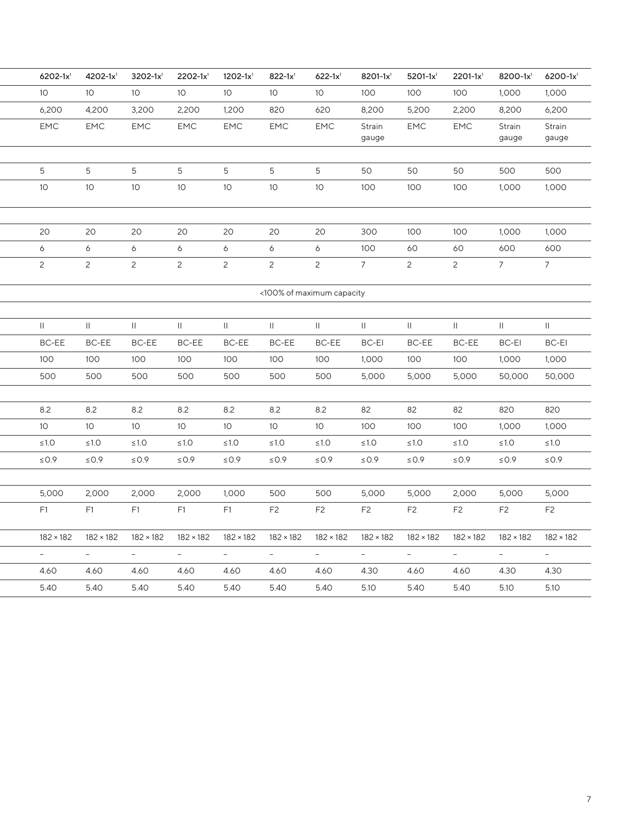| $6202 - 1x^{1}$           | $4202 - 1x1$     | $3202 - 1x^{1}$  | $2202 - 1x^1$    | $1202 - 1x^1$    | $822 - 1x^{1}$   | $622 - 1x1$              | $8201 - 1x^{1}$            | $5201 - 1x^1$    | $2201 - 1x^1$    | $8200 - 1x^{1}$  | $6200 - 1x1$     |
|---------------------------|------------------|------------------|------------------|------------------|------------------|--------------------------|----------------------------|------------------|------------------|------------------|------------------|
| 10 <sup>°</sup>           | 10               | 10 <sup>°</sup>  | 10 <sup>°</sup>  | 10 <sup>°</sup>  | $10$             | 10 <sup>°</sup>          | 100                        | 100              | 100              | 1,000            | 1,000            |
| 6,200                     | 4,200            | 3,200            | 2,200            | 1,200            | 820              | 620                      | 8,200                      | 5,200            | 2,200            | 8,200            | 6,200            |
| <b>EMC</b>                | EMC              | EMC              | EMC              | <b>EMC</b>       | <b>EMC</b>       | <b>EMC</b>               | Strain<br>gauge            | <b>EMC</b>       | <b>EMC</b>       | Strain<br>gauge  | Strain<br>gauge  |
|                           |                  |                  |                  |                  |                  |                          |                            |                  |                  |                  |                  |
| 5                         | 5                | 5                | 5                | 5                | 5                | 5                        | 50                         | 50               | 50               | 500              | 500              |
| $10$                      | 10 <sup>°</sup>  | 10 <sup>°</sup>  | 10 <sup>°</sup>  | 10 <sup>°</sup>  | 10 <sup>°</sup>  | 10 <sup>°</sup>          | 100                        | 100              | 100              | 1,000            | 1,000            |
|                           |                  |                  |                  |                  |                  |                          |                            |                  |                  |                  |                  |
| 20                        | 20               | 20               | 20               | 20               | 20               | 20                       | 300                        | 100              | 100              | 1,000            | 1,000            |
| 6                         | 6                | 6                | $6\overline{6}$  | 6                | 6                | 6                        | 100                        | 60               | 60               | 600              | 600              |
| $\mathbf{2}^{\prime}$     | 2                | $\overline{2}$   | $\overline{2}$   | $\overline{c}$   | $\overline{2}$   | $\overline{2}$           | $\overline{7}$             | $\overline{2}$   | $\overline{2}$   | $\overline{7}$   | $7\overline{ }$  |
| <100% of maximum capacity |                  |                  |                  |                  |                  |                          |                            |                  |                  |                  |                  |
|                           |                  |                  |                  |                  |                  |                          |                            |                  |                  |                  |                  |
| $\mathbf{H}$              | $\mathbf{H}$     | $\mathbf{II}$    | $\mathbf{H}$     | $\mathbf{H}$     | $\vert\vert$     | $\vert\vert$             | $\mathop{\rm   }\nolimits$ |                  | $\vert\vert$     | $\mathbf{II}$    | $\mathbf{H}$     |
| BC-EE                     | BC-EE            | BC-EE            | <b>BC-EE</b>     | BC-EE            | BC-EE            | <b>BC-EE</b>             | BC-EI                      | BC-EE            | BC-EE            | BC-EI            | BC-EI            |
| 100                       | 100              | 100              | 100              | 100              | 100              | 100                      | 1,000                      | 100              | 100              | 1,000            | 1,000            |
| 500                       | 500              | 500              | 500              | 500              | 500              | 500                      | 5,000                      | 5,000            | 5,000            | 50,000           | 50,000           |
|                           |                  |                  |                  |                  |                  |                          |                            |                  |                  |                  |                  |
| 8.2                       | 8.2              | 8.2              | 8.2              | 8.2              | 8.2              | 8.2                      | 82                         | 82               | 82               | 820              | 820              |
| 10 <sup>°</sup>           | 10 <sup>°</sup>  | 10 <sup>°</sup>  | 10 <sup>°</sup>  | 10 <sup>°</sup>  | 10 <sup>°</sup>  | 10 <sup>°</sup>          | 100                        | 100              | 100              | 1,000            | 1,000            |
| $\leq 1.0$                | $\leq 1.0$       | $\leq 1.0$       | $\leq 1.0$       | $\leq 1.0$       | $≤1.0$           | $\leq 1.0$               | $\leq 1.0$                 | ≤1.0             | $\leq 1.0$       | $\leq 1.0$       | $≤1.0$           |
| $\leq$ 0.9                | $\leq$ 0.9       | $\leq$ 0.9       | $\leq$ 0.9       | $\leq$ 0.9       | $\leq$ 0.9       | $\leq$ 0.9               | $\leq$ 0.9                 | $\leq$ 0.9       | $\leq$ 0.9       | $\leq$ 0.9       | $\leq$ 0.9       |
|                           |                  |                  |                  |                  |                  |                          |                            |                  |                  |                  |                  |
| 5,000                     | 2,000            | 2,000            | 2,000            | 1,000            | 500              | 500                      | 5,000                      | 5,000            | 2,000            | 5,000            | 5,000            |
| F <sub>1</sub>            | F1               | F1               | F1               | F1               | F <sub>2</sub>   | F <sub>2</sub>           | F <sub>2</sub>             | F <sub>2</sub>   | F <sub>2</sub>   | F <sub>2</sub>   | F <sub>2</sub>   |
| $182 \times 182$          | $182 \times 182$ | $182 \times 182$ | $182 \times 182$ | $182 \times 182$ | $182 \times 182$ | $182 \times 182$         | $182 \times 182$           | $182 \times 182$ | $182 \times 182$ | $182 \times 182$ | $182 \times 182$ |
| $\overline{\phantom{a}}$  | $\sim$           | $\sim$           | $\sim$           | $\sim$           | $\sim$           | $\overline{\phantom{a}}$ | $\sim$                     | $\sim$           | $\sim$           | $\sim$           | $\sim$           |
| 4.60                      | 4.60             | 4.60             | 4.60             | 4.60             | 4.60             | 4.60                     | 4.30                       | 4.60             | 4.60             | 4.30             | 4.30             |
| 5.40                      | 5.40             | 5.40             | 5.40             | 5.40             | 5.40             | 5.40                     | 5.10                       | 5.40             | 5.40             | 5.10             | 5.10             |
|                           |                  |                  |                  |                  |                  |                          |                            |                  |                  |                  |                  |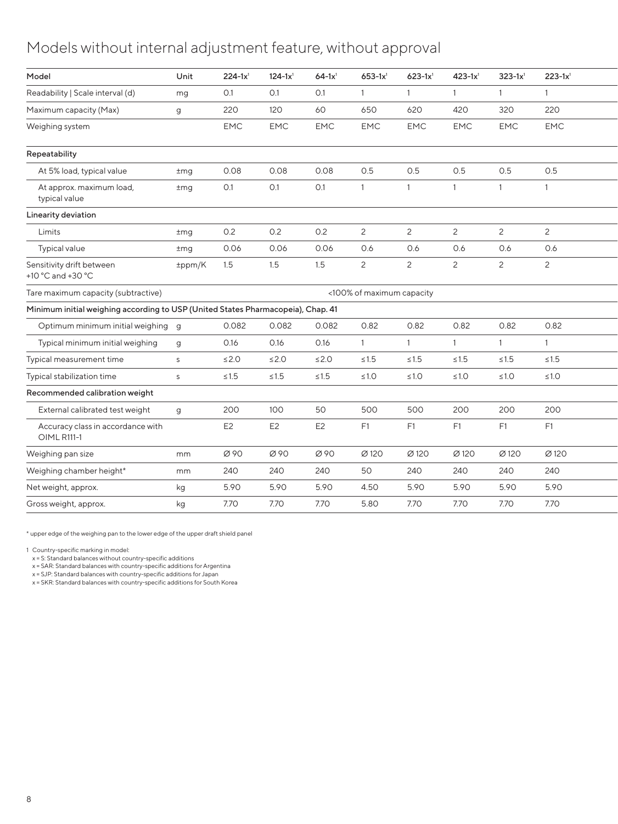#### Models without internal adjustment feature, without approval

| Model                                                                            | Unit     | $224 - 1x^1$   | $124 - 1x^1$   | $64-1x^{1}$    | $653 - 1x1$               | $623 - 1x^{1}$ | $423 - 1x^{1}$ | $323 - 1x^{1}$ | $223 - 1x^1$   |
|----------------------------------------------------------------------------------|----------|----------------|----------------|----------------|---------------------------|----------------|----------------|----------------|----------------|
| Readability   Scale interval (d)                                                 | mg       | 0.1            | O.1            | 0.1            |                           |                |                |                |                |
| Maximum capacity (Max)                                                           | g        | 220            | 120            | 60             | 650                       | 620            | 420            | 320            | 220            |
| Weighing system                                                                  |          | <b>EMC</b>     | EMC            | <b>EMC</b>     | <b>EMC</b>                | <b>EMC</b>     | EMC            | <b>EMC</b>     | EMC            |
| Repeatability                                                                    |          |                |                |                |                           |                |                |                |                |
| At 5% load, typical value                                                        | $\pm$ mg | 0.08           | 0.08           | 0.08           | 0.5                       | 0.5            | 0.5            | 0.5            | 0.5            |
| At approx. maximum load,<br>typical value                                        | $\pm$ mg | 0.1            | O.1            | O.1            |                           | $\overline{1}$ | $\overline{1}$ |                |                |
| Linearity deviation                                                              |          |                |                |                |                           |                |                |                |                |
| Limits                                                                           | $\pm$ mg | 0.2            | 0.2            | 0.2            | $\overline{2}$            | $\overline{2}$ | $\overline{2}$ | $\overline{c}$ | $\overline{c}$ |
| Typical value                                                                    | $\pm$ mg | 0.06           | 0.06           | 0.06           | 0.6                       | 0.6            | 0.6            | 0.6            | 0.6            |
| Sensitivity drift between<br>+10 °C and +30 °C                                   | ±ppm/K   | 1.5            | 1.5            | 1.5            | 2                         | 2              | $\overline{2}$ | $\overline{2}$ | $\overline{c}$ |
| Tare maximum capacity (subtractive)                                              |          |                |                |                | <100% of maximum capacity |                |                |                |                |
| Minimum initial weighing according to USP (United States Pharmacopeia), Chap. 41 |          |                |                |                |                           |                |                |                |                |
| Optimum minimum initial weighing g                                               |          | 0.082          | 0.082          | 0.082          | 0.82                      | 0.82           | 0.82           | 0.82           | 0.82           |
| Typical minimum initial weighing                                                 | g        | 0.16           | 0.16           | 0.16           |                           | $\overline{1}$ | $\overline{1}$ |                |                |
| Typical measurement time                                                         | S        | $\leq$ 2.0     | $\leq$ 2.0     | $\leq 2.0$     | $\leq 1.5$                | $\leq 1.5$     | $\leq 1.5$     | $≤1.5$         | $\leq 1.5$     |
| Typical stabilization time                                                       | S        | $\leq 1.5$     | $\leq1.5$      | $\leq 1.5$     | $\leq 1.0$                | $\leq 1.0$     | $\leq 1.0$     | $\leq 1.0$     | $\leq 1.0$     |
| Recommended calibration weight                                                   |          |                |                |                |                           |                |                |                |                |
| External calibrated test weight                                                  | $\alpha$ | 200            | 100            | 50             | 500                       | 500            | 200            | 200            | 200            |
| Accuracy class in accordance with<br><b>OIML R111-1</b>                          |          | E <sub>2</sub> | E <sub>2</sub> | E <sub>2</sub> | F1                        | F1             | F1             | F1             | F1             |
| Weighing pan size                                                                | mm       | Ø90            | Ø 90           | Ø 90           | Ø 120                     | Ø 120          | Ø 120          | Ø 120          | Ø 120          |
| Weighing chamber height*                                                         | mm       | 240            | 240            | 240            | 50                        | 240            | 240            | 240            | 240            |
| Net weight, approx.                                                              | kg       | 5.90           | 5.90           | 5.90           | 4.50                      | 5.90           | 5.90           | 5.90           | 5.90           |
| Gross weight, approx.                                                            | kg       | 7.70           | 7.70           | 7.70           | 5.80                      | 7.70           | 7.70           | 7.70           | 7.70           |
|                                                                                  |          |                |                |                |                           |                |                |                |                |

\* upper edge of the weighing pan to the lower edge of the upper draft shield panel

1 Country-specific marking in model: x = S: Standard balances without country-specific additions

x = SAR: Standard balances with country-specific additions for Argentina x = SJP: Standard balances with country-specific additions for Japan

x = SKR: Standard balances with country-specific additions for South Korea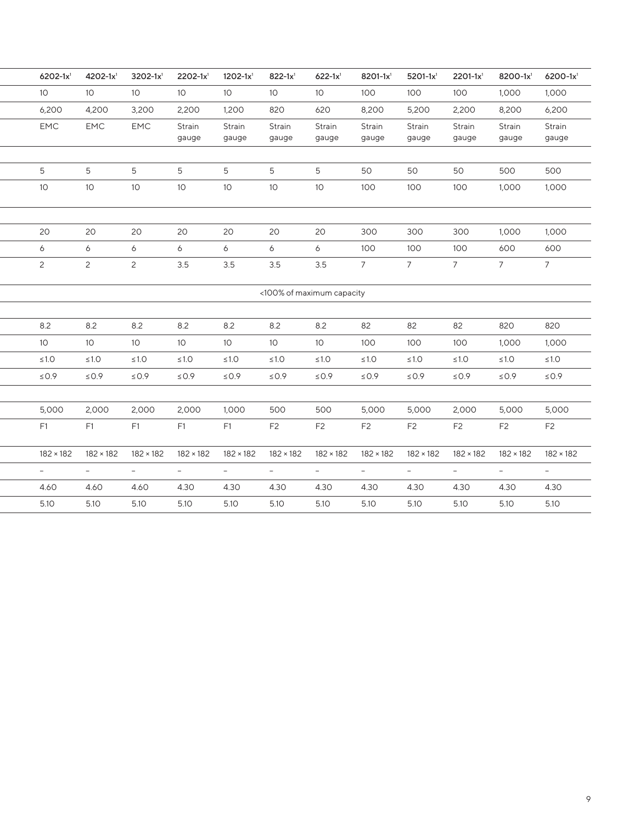| $6202 - 1x^1$            | $4202 - 1x1$     | $3202 - 1x^1$    | $2202 - 1x1$             | $1202 - 1x1$     | $822 - 1x^1$     | $622 - 1x1$               | 8201-1x <sup>1</sup>     | $5201 - 1x^1$    | $2201 - 1x^1$            | 8200-1x1         | $6200 - 1x1$     |
|--------------------------|------------------|------------------|--------------------------|------------------|------------------|---------------------------|--------------------------|------------------|--------------------------|------------------|------------------|
| 10 <sup>°</sup>          | 10 <sup>°</sup>  | 10 <sup>°</sup>  | 10 <sup>°</sup>          | 10 <sup>°</sup>  | 10 <sup>°</sup>  | 10 <sup>°</sup>           | 100                      | 100              | 100                      | 1,000            | 1,000            |
| 6,200                    | 4,200            | 3,200            | 2,200                    | 1,200            | 820              | 620                       | 8,200                    | 5,200            | 2,200                    | 8,200            | 6,200            |
| EMC                      | EMC              | EMC              | Strain<br>gauge          | Strain<br>gauge  | Strain<br>gauge  | Strain<br>gauge           | Strain<br>gauge          | Strain<br>gauge  | Strain<br>gauge          | Strain<br>gauge  | Strain<br>gauge  |
|                          |                  |                  |                          |                  |                  |                           |                          |                  |                          |                  |                  |
| 5                        | 5                | 5                | 5                        | 5                | 5                | 5                         | 50                       | 50               | 50                       | 500              | 500              |
| 10 <sup>°</sup>          | 10 <sup>°</sup>  | $10-10$          | 10 <sup>°</sup>          | 10 <sup>°</sup>  | 10 <sup>°</sup>  | 10 <sup>°</sup>           | 100                      | 100              | 100                      | 1,000            | 1,000            |
| 20                       | 20               | 20               | 20                       | 20               | 20               | 20                        | 300                      | 300              | 300                      | 1,000            | 1,000            |
| 6                        | 6                | 6                | 6                        | 6                | 6                | 6                         | 100                      | 100              | 100                      | 600              | 600              |
| 2                        | 2                | $\overline{2}$   | 3.5                      | 3.5              | 3.5              | 3.5                       | $7^{\circ}$              | $7^{\circ}$      | $7^{\circ}$              | $7^{\circ}$      | $7^{\circ}$      |
|                          |                  |                  |                          |                  |                  | <100% of maximum capacity |                          |                  |                          |                  |                  |
|                          |                  |                  |                          |                  |                  |                           |                          |                  |                          |                  |                  |
| 8.2                      | 8.2              | 8.2              | 8.2                      | 8.2              | 8.2              | 8.2                       | 82                       | 82               | 82                       | 820              | 820              |
| 10 <sup>°</sup>          | 10 <sup>°</sup>  | 10 <sup>°</sup>  | 10 <sup>°</sup>          | 10 <sup>°</sup>  | 10 <sup>°</sup>  | 10 <sup>°</sup>           | 100                      | 100              | 100                      | 1,000            | 1,000            |
| $\leq 1.0$               | $\leq 1.0$       | ≤1.0             | $\leq 1.0$               | ≤1.0             | $\leq 1.0$       | $\leq 1.0$                | $≤1.0$                   | $\leq 1.0$       | $\leq 1.0$               | $\leq 1.0$       | $\leq1.0$        |
| $\leq 0.9$               | $\leq 0.9$       | $\leq 0.9$       | $\leq 0.9$               | $\leq 0.9$       | $\leq$ 0.9       | $\leq 0.9$                | $\leq 0.9$               | $\leq 0.9$       | $\leq 0.9$               | $\leq 0.9$       | $\leq 0.9$       |
|                          |                  |                  |                          |                  |                  |                           |                          |                  |                          |                  |                  |
| 5,000                    | 2,000            | 2,000            | 2,000                    | 1,000            | 500              | 500                       | 5,000                    | 5,000            | 2,000                    | 5,000            | 5,000            |
| F <sub>1</sub>           | F1               | F1               | F <sub>1</sub>           | F1               | F <sub>2</sub>   | F <sub>2</sub>            | F <sub>2</sub>           | F <sub>2</sub>   | F <sub>2</sub>           | F <sub>2</sub>   | F <sub>2</sub>   |
| $182 \times 182$         | $182 \times 182$ | $182 \times 182$ | $182 \times 182$         | $182 \times 182$ | $182 \times 182$ | $182 \times 182$          | $182 \times 182$         | $182 \times 182$ | $182 \times 182$         | $182 \times 182$ | $182 \times 182$ |
|                          |                  |                  |                          |                  |                  | $\overline{\phantom{a}}$  | $\overline{\phantom{a}}$ | $\sim$           | $\overline{\phantom{a}}$ | $\sim$           | $\sim$           |
| $\overline{\phantom{a}}$ | $-$              | $\sim$           | $\overline{\phantom{a}}$ | $\sim$           | $\sim$           |                           |                          |                  |                          |                  |                  |
| 4.60                     | 4.60             | 4.60             | 4.30                     | 4.30             | 4.30             | 4.30                      | 4.30                     | 4.30             | 4.30                     | 4.30             | 4.30             |
| 5.10                     | 5.10             | 5.10             | 5.10                     | 5.10             | 5.10             | 5.10                      | 5.10                     | 5.10             | 5.10                     | 5.10             | 5.10             |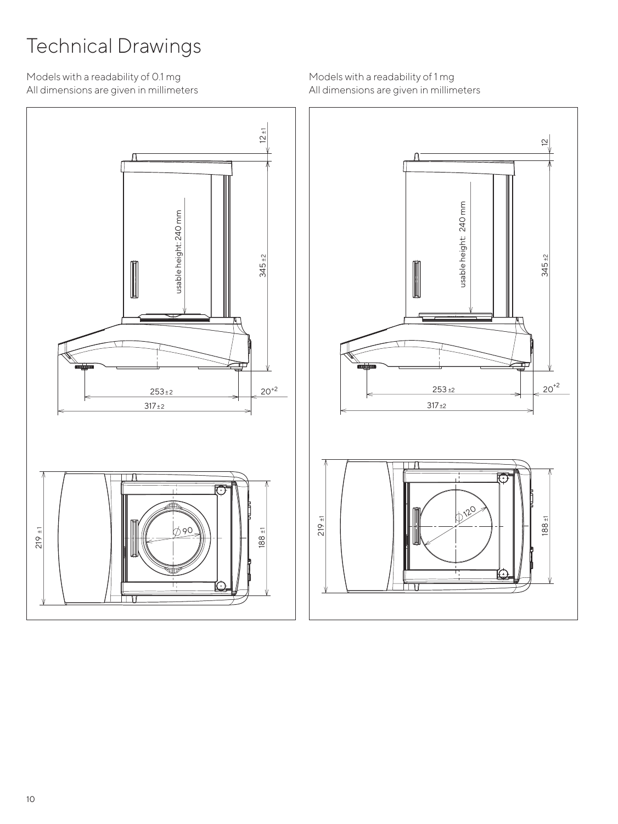# Technical Drawings

Models with a readability of 0.1 mg All dimensions are given in millimeters



Models with a readability of 1 mg All dimensions are given in millimeters

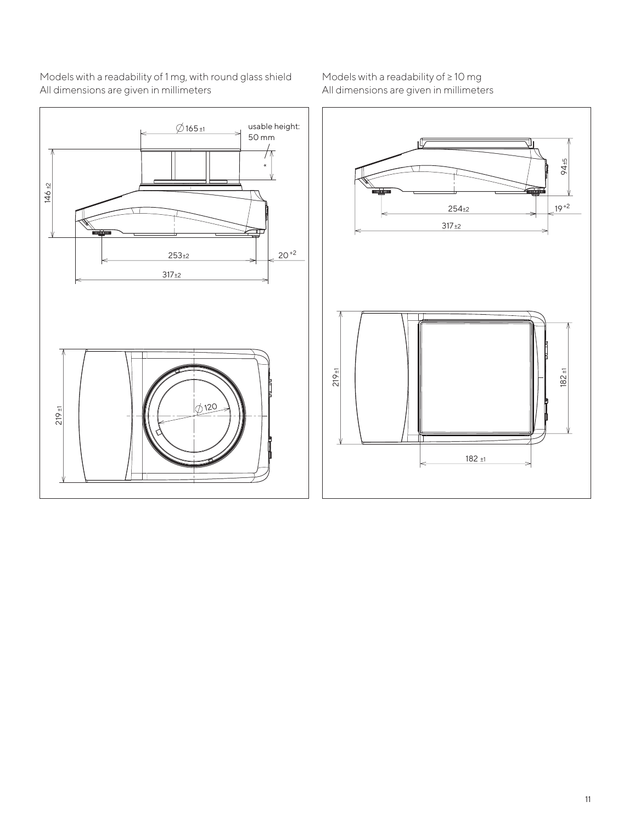

Models with a readability of 1 mg, with round glass shield All dimensions are given in millimeters

Models with a readability of ≥ 10 mg All dimensions are given in millimeters

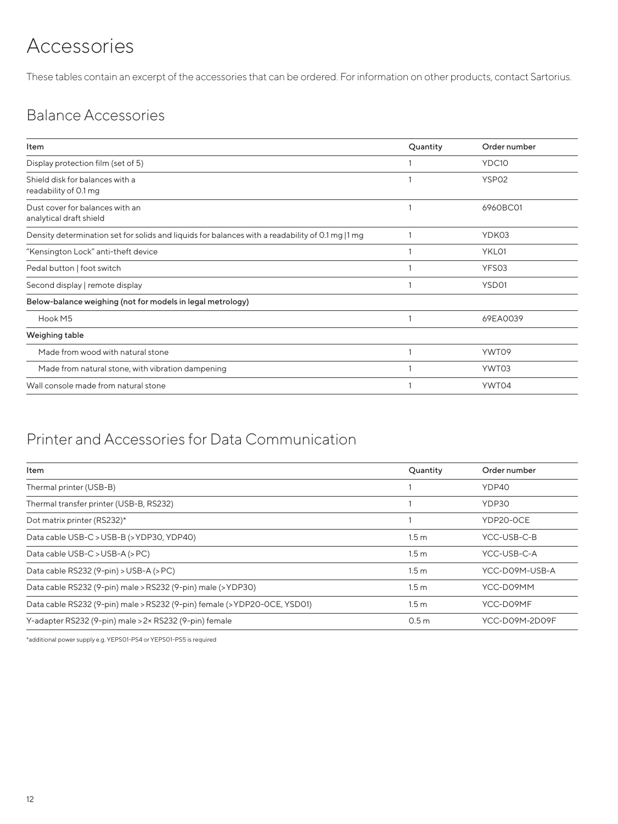## Accessories

These tables contain an excerpt of the accessories that can be ordered. For information on other products, contact Sartorius.

### Balance Accessories

| Item                                                                                             | Quantity | Order number      |
|--------------------------------------------------------------------------------------------------|----------|-------------------|
| Display protection film (set of 5)                                                               |          | YDC10             |
| Shield disk for balances with a<br>readability of 0.1 mg                                         |          | YSP <sub>02</sub> |
| Dust cover for balances with an<br>analytical draft shield                                       |          | 6960BC01          |
| Density determination set for solids and liquids for balances with a readability of 0.1 mg  1 mg |          | YDK03             |
| "Kensington Lock" anti-theft device                                                              |          | YKL01             |
| Pedal button   foot switch                                                                       |          | YFS03             |
| Second display   remote display                                                                  |          | YSD01             |
| Below-balance weighing (not for models in legal metrology)                                       |          |                   |
| Hook M5                                                                                          |          | 69EA0039          |
| Weighing table                                                                                   |          |                   |
| Made from wood with natural stone                                                                |          | YWT09             |
| Made from natural stone, with vibration dampening                                                |          | YWT03             |
| Wall console made from natural stone                                                             |          | YWT04             |
|                                                                                                  |          |                   |

#### Printer and Accessories for Data Communication

| Item                                                                      | Quantity         | Order number   |
|---------------------------------------------------------------------------|------------------|----------------|
| Thermal printer (USB-B)                                                   |                  | YDP40          |
| Thermal transfer printer (USB-B, RS232)                                   |                  | YDP30          |
| Dot matrix printer (RS232)*                                               |                  | YDP20-OCE      |
| Data cable USB-C > USB-B (> YDP30, YDP40)                                 | 1.5 <sub>m</sub> | YCC-USB-C-B    |
| Data cable USB-C > USB-A (> PC)                                           | 1.5 <sub>m</sub> | YCC-USB-C-A    |
| Data cable RS232 (9-pin) > USB-A (> PC)                                   | 1.5 <sub>m</sub> | YCC-D09M-USB-A |
| Data cable RS232 (9-pin) male > RS232 (9-pin) male (> YDP30)              | 1.5 <sub>m</sub> | YCC-D09MM      |
| Data cable RS232 (9-pin) male > RS232 (9-pin) female (> YDP20-OCE, YSD01) | 1.5 <sub>m</sub> | YCC-D09MF      |
| Y-adapter RS232 (9-pin) male > 2x RS232 (9-pin) female                    | 0.5 <sub>m</sub> | YCC-D09M-2D09F |

\*additional power supply e.g. YEPS01-PS4 or YEPS01-PS5 is required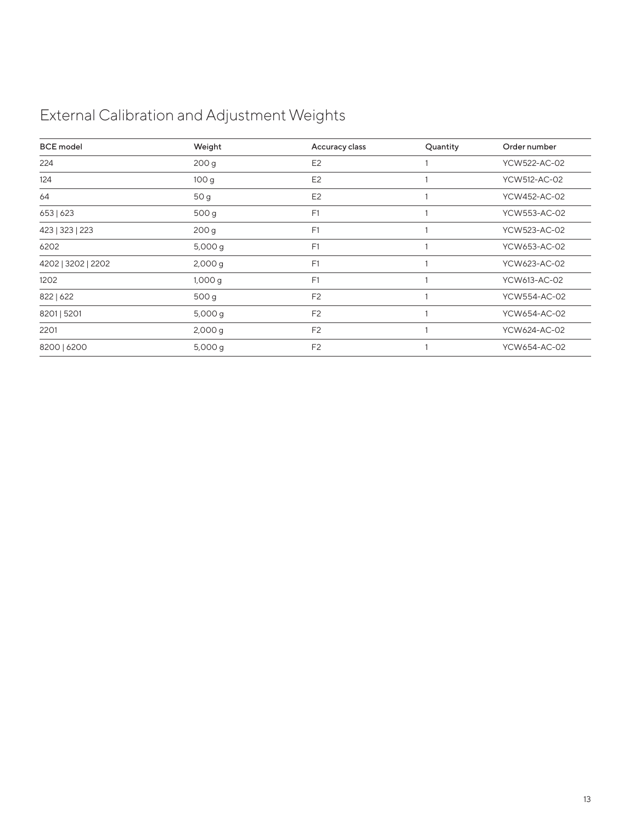## External Calibration and Adjustment Weights

| <b>BCE</b> model   | Weight           | Accuracy class | Quantity | Order number |
|--------------------|------------------|----------------|----------|--------------|
| 224                | 200 <sub>g</sub> | E <sub>2</sub> |          | YCW522-AC-02 |
| 124                | 100 <sub>g</sub> | E <sub>2</sub> |          | YCW512-AC-02 |
| 64                 | 50 g             | E <sub>2</sub> |          | YCW452-AC-02 |
| 653   623          | 500 g            | F1             |          | YCW553-AC-02 |
| 423   323   223    | 200 <sub>g</sub> | F1             |          | YCW523-AC-02 |
| 6202               | 5,000 g          | F1             |          | YCW653-AC-02 |
| 4202   3202   2202 | 2,000 g          | F1             |          | YCW623-AC-02 |
| 1202               | 1,000g           | F <sub>1</sub> |          | YCW613-AC-02 |
| 822   622          | 500 g            | F <sub>2</sub> |          | YCW554-AC-02 |
| 8201   5201        | 5,000 g          | F <sub>2</sub> |          | YCW654-AC-02 |
| 2201               | 2,000 g          | F <sub>2</sub> |          | YCW624-AC-02 |
| 8200   6200        | 5,000 g          | F <sub>2</sub> |          | YCW654-AC-02 |